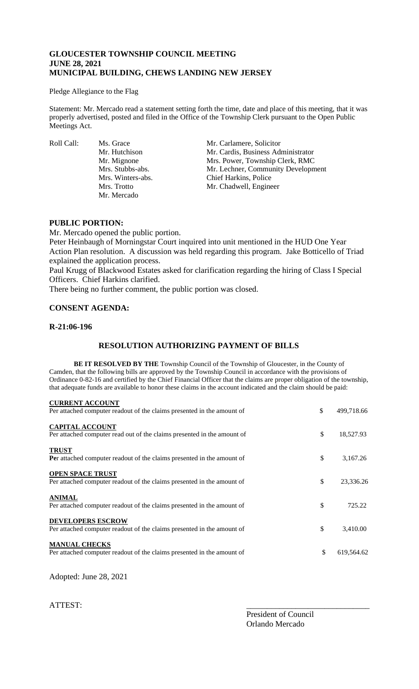# **GLOUCESTER TOWNSHIP COUNCIL MEETING JUNE 28, 2021 MUNICIPAL BUILDING, CHEWS LANDING NEW JERSEY**

#### Pledge Allegiance to the Flag

Statement: Mr. Mercado read a statement setting forth the time, date and place of this meeting, that it was properly advertised, posted and filed in the Office of the Township Clerk pursuant to the Open Public Meetings Act.

Mr. Mercado

Roll Call: Ms. Grace Mr. Carlamere, Solicitor<br>Mr. Hutchison Mr. Cardis, Business Adı Mr. Cardis, Business Administrator Mr. Mignone Mrs. Power, Township Clerk, RMC Mrs. Stubbs-abs. Mr. Lechner, Community Development Mrs. Winters-abs. Chief Harkins, Police Mrs. Trotto Mr. Chadwell, Engineer

# **PUBLIC PORTION:**

Mr. Mercado opened the public portion. Peter Heinbaugh of Morningstar Court inquired into unit mentioned in the HUD One Year Action Plan resolution. A discussion was held regarding this program. Jake Botticello of Triad explained the application process.

Paul Krugg of Blackwood Estates asked for clarification regarding the hiring of Class I Special Officers. Chief Harkins clarified.

There being no further comment, the public portion was closed.

# **CONSENT AGENDA:**

### **R-21:06-196**

# **RESOLUTION AUTHORIZING PAYMENT OF BILLS**

**BE IT RESOLVED BY THE** Township Council of the Township of Gloucester, in the County of Camden, that the following bills are approved by the Township Council in accordance with the provisions of Ordinance 0-82-16 and certified by the Chief Financial Officer that the claims are proper obligation of the township, that adequate funds are available to honor these claims in the account indicated and the claim should be paid:

| <b>CURRENT ACCOUNT</b><br>Per attached computer readout of the claims presented in the amount of   | \$<br>499,718.66 |
|----------------------------------------------------------------------------------------------------|------------------|
| <b>CAPITAL ACCOUNT</b><br>Per attached computer read out of the claims presented in the amount of  | \$<br>18,527.93  |
| <b>TRUST</b><br><b>Per</b> attached computer readout of the claims presented in the amount of      | \$<br>3,167.26   |
| <b>OPEN SPACE TRUST</b><br>Per attached computer readout of the claims presented in the amount of  | \$<br>23,336.26  |
| <b>ANIMAL</b><br>Per attached computer readout of the claims presented in the amount of            | \$<br>725.22     |
| <b>DEVELOPERS ESCROW</b><br>Per attached computer readout of the claims presented in the amount of | \$<br>3,410.00   |
| <b>MANUAL CHECKS</b><br>Per attached computer readout of the claims presented in the amount of     | \$<br>619,564.62 |

Adopted: June 28, 2021

ATTEST:

President of Council Orlando Mercado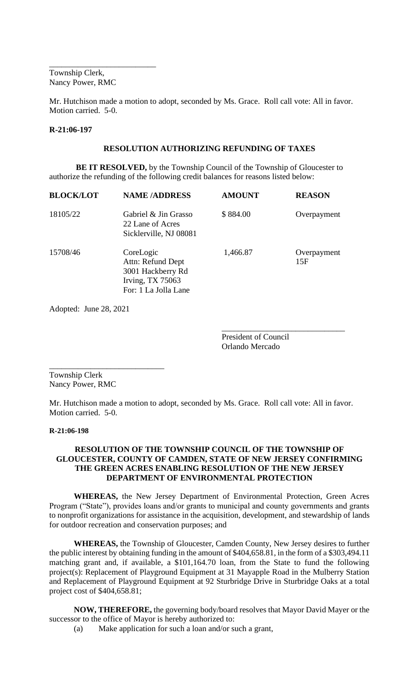Township Clerk, Nancy Power, RMC

\_\_\_\_\_\_\_\_\_\_\_\_\_\_\_\_\_\_\_\_\_\_\_\_\_\_

Mr. Hutchison made a motion to adopt, seconded by Ms. Grace. Roll call vote: All in favor. Motion carried. 5-0.

#### **R-21:06-197**

# **RESOLUTION AUTHORIZING REFUNDING OF TAXES**

**BE IT RESOLVED,** by the Township Council of the Township of Gloucester to authorize the refunding of the following credit balances for reasons listed below:

| <b>BLOCK/LOT</b> | <b>NAME/ADDRESS</b>                                                                             | <b>AMOUNT</b> | <b>REASON</b>      |
|------------------|-------------------------------------------------------------------------------------------------|---------------|--------------------|
| 18105/22         | Gabriel & Jin Grasso<br>22 Lane of Acres<br>Sicklerville, NJ 08081                              | \$884.00      | Overpayment        |
| 15708/46         | CoreLogic<br>Attn: Refund Dept<br>3001 Hackberry Rd<br>Irving, TX 75063<br>For: 1 La Jolla Lane | 1,466.87      | Overpayment<br>15F |

Adopted: June 28, 2021

President of Council Orlando Mercado

\_\_\_\_\_\_\_\_\_\_\_\_\_\_\_\_\_\_\_\_\_\_\_\_\_\_\_\_\_\_

Township Clerk Nancy Power, RMC

\_\_\_\_\_\_\_\_\_\_\_\_\_\_\_\_\_\_\_\_\_\_\_\_\_\_\_\_

Mr. Hutchison made a motion to adopt, seconded by Ms. Grace. Roll call vote: All in favor. Motion carried. 5-0.

#### **R-21:06-198**

## **RESOLUTION OF THE TOWNSHIP COUNCIL OF THE TOWNSHIP OF GLOUCESTER, COUNTY OF CAMDEN, STATE OF NEW JERSEY CONFIRMING THE GREEN ACRES ENABLING RESOLUTION OF THE NEW JERSEY DEPARTMENT OF ENVIRONMENTAL PROTECTION**

**WHEREAS,** the New Jersey Department of Environmental Protection, Green Acres Program ("State"), provides loans and/or grants to municipal and county governments and grants to nonprofit organizations for assistance in the acquisition, development, and stewardship of lands for outdoor recreation and conservation purposes; and

**WHEREAS,** the Township of Gloucester, Camden County, New Jersey desires to further the public interest by obtaining funding in the amount of \$404,658.81, in the form of a \$303,494.11 matching grant and, if available, a \$101,164.70 loan, from the State to fund the following project(s): Replacement of Playground Equipment at 31 Mayapple Road in the Mulberry Station and Replacement of Playground Equipment at 92 Sturbridge Drive in Sturbridge Oaks at a total project cost of \$404,658.81;

**NOW, THEREFORE,** the governing body/board resolves that Mayor David Mayer or the successor to the office of Mayor is hereby authorized to:

(a) Make application for such a loan and/or such a grant,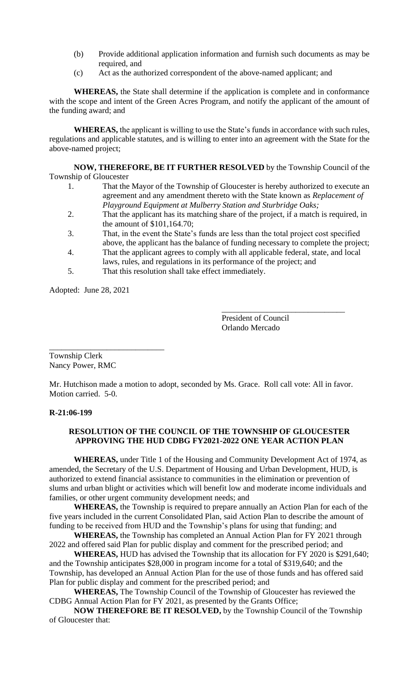- (b) Provide additional application information and furnish such documents as may be required, and
- (c) Act as the authorized correspondent of the above-named applicant; and

**WHEREAS,** the State shall determine if the application is complete and in conformance with the scope and intent of the Green Acres Program, and notify the applicant of the amount of the funding award; and

**WHEREAS,** the applicant is willing to use the State's funds in accordance with such rules, regulations and applicable statutes, and is willing to enter into an agreement with the State for the above-named project;

**NOW, THEREFORE, BE IT FURTHER RESOLVED** by the Township Council of the Township of Gloucester

- 1. That the Mayor of the Township of Gloucester is hereby authorized to execute an agreement and any amendment thereto with the State known as *Replacement of Playground Equipment at Mulberry Station and Sturbridge Oaks;*
- 2. That the applicant has its matching share of the project, if a match is required, in the amount of \$101,164.70;
- 3. That, in the event the State's funds are less than the total project cost specified above, the applicant has the balance of funding necessary to complete the project;
- 4. That the applicant agrees to comply with all applicable federal, state, and local laws, rules, and regulations in its performance of the project; and
- 5. That this resolution shall take effect immediately.

Adopted: June 28, 2021

President of Council Orlando Mercado

\_\_\_\_\_\_\_\_\_\_\_\_\_\_\_\_\_\_\_\_\_\_\_\_\_\_\_\_\_\_

\_\_\_\_\_\_\_\_\_\_\_\_\_\_\_\_\_\_\_\_\_\_\_\_\_\_\_\_ Township Clerk Nancy Power, RMC

Mr. Hutchison made a motion to adopt, seconded by Ms. Grace. Roll call vote: All in favor. Motion carried. 5-0.

# **R-21:06-199**

# **RESOLUTION OF THE COUNCIL OF THE TOWNSHIP OF GLOUCESTER APPROVING THE HUD CDBG FY2021-2022 ONE YEAR ACTION PLAN**

**WHEREAS,** under Title 1 of the Housing and Community Development Act of 1974, as amended, the Secretary of the U.S. Department of Housing and Urban Development, HUD, is authorized to extend financial assistance to communities in the elimination or prevention of slums and urban blight or activities which will benefit low and moderate income individuals and families, or other urgent community development needs; and

**WHEREAS,** the Township is required to prepare annually an Action Plan for each of the five years included in the current Consolidated Plan, said Action Plan to describe the amount of funding to be received from HUD and the Township's plans for using that funding; and

**WHEREAS,** the Township has completed an Annual Action Plan for FY 2021 through 2022 and offered said Plan for public display and comment for the prescribed period; and

**WHEREAS,** HUD has advised the Township that its allocation for FY 2020 is \$291,640; and the Township anticipates \$28,000 in program income for a total of \$319,640; and the Township, has developed an Annual Action Plan for the use of those funds and has offered said Plan for public display and comment for the prescribed period; and

**WHEREAS,** The Township Council of the Township of Gloucester has reviewed the CDBG Annual Action Plan for FY 2021, as presented by the Grants Office;

**NOW THEREFORE BE IT RESOLVED,** by the Township Council of the Township of Gloucester that: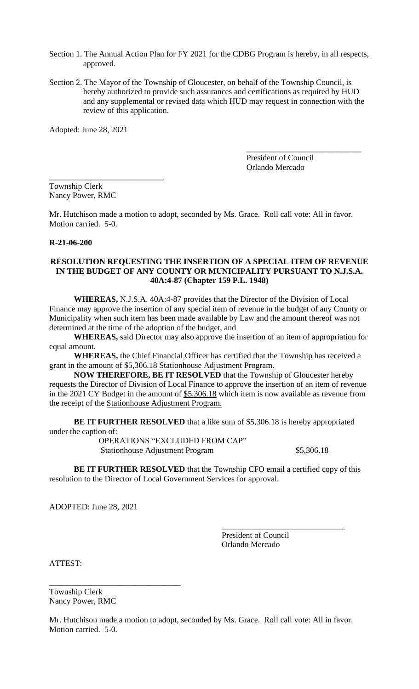- Section 1. The Annual Action Plan for FY 2021 for the CDBG Program is hereby, in all respects, approved.
- Section 2. The Mayor of the Township of Gloucester, on behalf of the Township Council, is hereby authorized to provide such assurances and certifications as required by HUD and any supplemental or revised data which HUD may request in connection with the review of this application.

Adopted: June 28, 2021

President of Council Orlando Mercado

\_\_\_\_\_\_\_\_\_\_\_\_\_\_\_\_\_\_\_\_\_\_\_\_\_\_\_\_

Township Clerk Nancy Power, RMC

\_\_\_\_\_\_\_\_\_\_\_\_\_\_\_\_\_\_\_\_\_\_\_\_\_\_\_\_

Mr. Hutchison made a motion to adopt, seconded by Ms. Grace. Roll call vote: All in favor. Motion carried. 5-0.

### **R-21-06-200**

### **RESOLUTION REQUESTING THE INSERTION OF A SPECIAL ITEM OF REVENUE IN THE BUDGET OF ANY COUNTY OR MUNICIPALITY PURSUANT TO N.J.S.A. 40A:4-87 (Chapter 159 P.L. 1948)**

**WHEREAS,** N.J.S.A. 40A:4-87 provides that the Director of the Division of Local Finance may approve the insertion of any special item of revenue in the budget of any County or Municipality when such item has been made available by Law and the amount thereof was not determined at the time of the adoption of the budget, and

**WHEREAS,** said Director may also approve the insertion of an item of appropriation for equal amount.

**WHEREAS,** the Chief Financial Officer has certified that the Township has received a grant in the amount of \$5,306.18 Stationhouse Adjustment Program.

**NOW THEREFORE, BE IT RESOLVED** that the Township of Gloucester hereby requests the Director of Division of Local Finance to approve the insertion of an item of revenue in the 2021 CY Budget in the amount of \$5,306.18 which item is now available as revenue from the receipt of the Stationhouse Adjustment Program.

**BE IT FURTHER RESOLVED** that a like sum of \$5,306.18 is hereby appropriated under the caption of:

OPERATIONS "EXCLUDED FROM CAP" Stationhouse Adjustment Program \$5,306.18

**BE IT FURTHER RESOLVED** that the Township CFO email a certified copy of this resolution to the Director of Local Government Services for approval.

ADOPTED: June 28, 2021

\_\_\_\_\_\_\_\_\_\_\_\_\_\_\_\_\_\_\_\_\_\_\_\_\_\_\_\_\_\_ President of Council Orlando Mercado

ATTEST:

Township Clerk Nancy Power, RMC

\_\_\_\_\_\_\_\_\_\_\_\_\_\_\_\_\_\_\_\_\_\_\_\_\_\_\_\_\_\_\_\_

Mr. Hutchison made a motion to adopt, seconded by Ms. Grace. Roll call vote: All in favor. Motion carried. 5-0.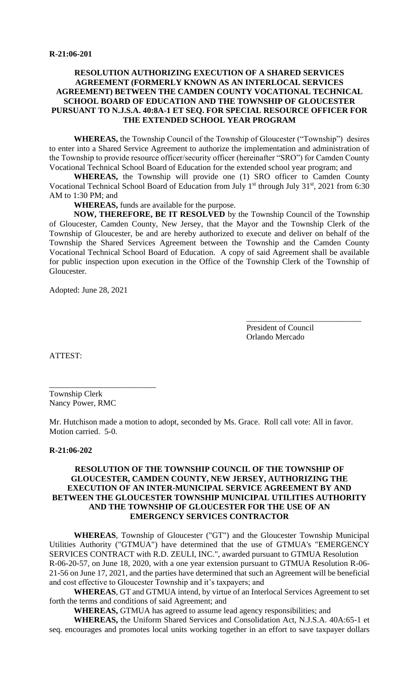## **RESOLUTION AUTHORIZING EXECUTION OF A SHARED SERVICES AGREEMENT (FORMERLY KNOWN AS AN INTERLOCAL SERVICES AGREEMENT) BETWEEN THE CAMDEN COUNTY VOCATIONAL TECHNICAL SCHOOL BOARD OF EDUCATION AND THE TOWNSHIP OF GLOUCESTER PURSUANT TO N.J.S.A. 40:8A-1 ET SEQ. FOR SPECIAL RESOURCE OFFICER FOR THE EXTENDED SCHOOL YEAR PROGRAM**

**WHEREAS,** the Township Council of the Township of Gloucester ("Township") desires to enter into a Shared Service Agreement to authorize the implementation and administration of the Township to provide resource officer/security officer (hereinafter "SRO") for Camden County Vocational Technical School Board of Education for the extended school year program; and

**WHEREAS,** the Township will provide one (1) SRO officer to Camden County Vocational Technical School Board of Education from July 1<sup>st</sup> through July 31<sup>st</sup>, 2021 from 6:30 AM to 1:30 PM; and

**WHEREAS,** funds are available for the purpose.

**NOW, THEREFORE, BE IT RESOLVED** by the Township Council of the Township of Gloucester, Camden County, New Jersey, that the Mayor and the Township Clerk of the Township of Gloucester, be and are hereby authorized to execute and deliver on behalf of the Township the Shared Services Agreement between the Township and the Camden County Vocational Technical School Board of Education. A copy of said Agreement shall be available for public inspection upon execution in the Office of the Township Clerk of the Township of Gloucester.

Adopted: June 28, 2021

President of Council Orlando Mercado

\_\_\_\_\_\_\_\_\_\_\_\_\_\_\_\_\_\_\_\_\_\_\_\_\_\_\_\_

ATTEST:

Township Clerk Nancy Power, RMC

\_\_\_\_\_\_\_\_\_\_\_\_\_\_\_\_\_\_\_\_\_\_\_\_\_\_

Mr. Hutchison made a motion to adopt, seconded by Ms. Grace. Roll call vote: All in favor. Motion carried. 5-0.

#### **R-21:06-202**

# **RESOLUTION OF THE TOWNSHIP COUNCIL OF THE TOWNSHIP OF GLOUCESTER, CAMDEN COUNTY, NEW JERSEY, AUTHORIZING THE EXECUTION OF AN INTER-MUNICIPAL SERVICE AGREEMENT BY AND BETWEEN THE GLOUCESTER TOWNSHIP MUNICIPAL UTILITIES AUTHORITY AND THE TOWNSHIP OF GLOUCESTER FOR THE USE OF AN EMERGENCY SERVICES CONTRACTOR**

**WHEREAS**, Township of Gloucester ("GT") and the Gloucester Township Municipal Utilities Authority ("GTMUA") have determined that the use of GTMUA's "EMERGENCY SERVICES CONTRACT with R.D. ZEULI, INC.", awarded pursuant to GTMUA Resolution R-06-20-57, on June 18, 2020, with a one year extension pursuant to GTMUA Resolution R-06- 21-56 on June 17, 2021, and the parties have determined that such an Agreement will be beneficial and cost effective to Gloucester Township and it's taxpayers; and

**WHEREAS**, GT and GTMUA intend, by virtue of an Interlocal Services Agreement to set forth the terms and conditions of said Agreement; and

**WHEREAS,** GTMUA has agreed to assume lead agency responsibilities; and

**WHEREAS,** the Uniform Shared Services and Consolidation Act, N.J.S.A. 40A:65-1 et seq. encourages and promotes local units working together in an effort to save taxpayer dollars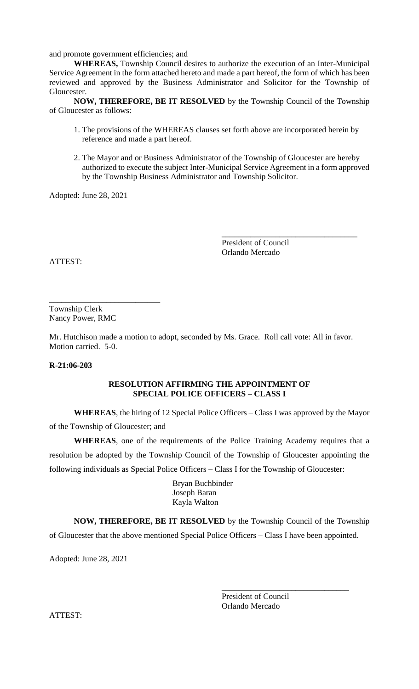and promote government efficiencies; and

**WHEREAS,** Township Council desires to authorize the execution of an Inter-Municipal Service Agreement in the form attached hereto and made a part hereof, the form of which has been reviewed and approved by the Business Administrator and Solicitor for the Township of Gloucester.

**NOW, THEREFORE, BE IT RESOLVED** by the Township Council of the Township of Gloucester as follows:

- 1. The provisions of the WHEREAS clauses set forth above are incorporated herein by reference and made a part hereof.
- 2. The Mayor and or Business Administrator of the Township of Gloucester are hereby authorized to execute the subject Inter-Municipal Service Agreement in a form approved by the Township Business Administrator and Township Solicitor.

Adopted: June 28, 2021

President of Council Orlando Mercado

\_\_\_\_\_\_\_\_\_\_\_\_\_\_\_\_\_\_\_\_\_\_\_\_\_\_\_\_\_\_\_\_\_

ATTEST:

Township Clerk Nancy Power, RMC

\_\_\_\_\_\_\_\_\_\_\_\_\_\_\_\_\_\_\_\_\_\_\_\_\_\_\_

Mr. Hutchison made a motion to adopt, seconded by Ms. Grace. Roll call vote: All in favor. Motion carried. 5-0.

**R-21:06-203**

### **RESOLUTION AFFIRMING THE APPOINTMENT OF SPECIAL POLICE OFFICERS – CLASS I**

**WHEREAS**, the hiring of 12 Special Police Officers – Class I was approved by the Mayor of the Township of Gloucester; and

**WHEREAS**, one of the requirements of the Police Training Academy requires that a resolution be adopted by the Township Council of the Township of Gloucester appointing the following individuals as Special Police Officers – Class I for the Township of Gloucester:

> Bryan Buchbinder Joseph Baran Kayla Walton

**NOW, THEREFORE, BE IT RESOLVED** by the Township Council of the Township of Gloucester that the above mentioned Special Police Officers – Class I have been appointed.

Adopted: June 28, 2021

President of Council Orlando Mercado

\_\_\_\_\_\_\_\_\_\_\_\_\_\_\_\_\_\_\_\_\_\_\_\_\_\_\_\_\_\_\_

ATTEST: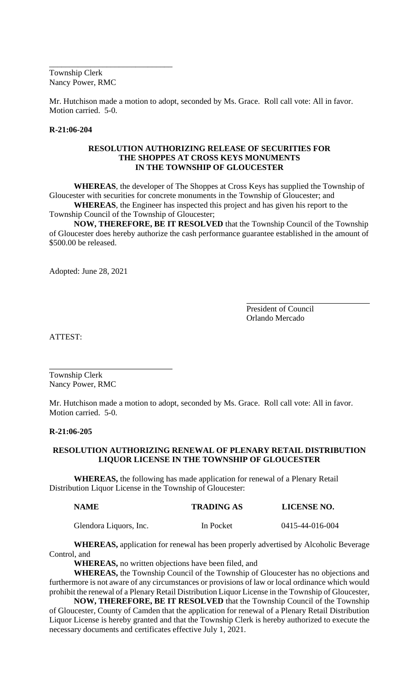Township Clerk Nancy Power, RMC

\_\_\_\_\_\_\_\_\_\_\_\_\_\_\_\_\_\_\_\_\_\_\_\_\_\_\_\_\_\_

Mr. Hutchison made a motion to adopt, seconded by Ms. Grace. Roll call vote: All in favor. Motion carried. 5-0.

#### **R-21:06-204**

### **RESOLUTION AUTHORIZING RELEASE OF SECURITIES FOR THE SHOPPES AT CROSS KEYS MONUMENTS IN THE TOWNSHIP OF GLOUCESTER**

**WHEREAS**, the developer of The Shoppes at Cross Keys has supplied the Township of Gloucester with securities for concrete monuments in the Township of Gloucester; and

**WHEREAS**, the Engineer has inspected this project and has given his report to the Township Council of the Township of Gloucester;

**NOW, THEREFORE, BE IT RESOLVED** that the Township Council of the Township of Gloucester does hereby authorize the cash performance guarantee established in the amount of \$500.00 be released.

Adopted: June 28, 2021

President of Council Orlando Mercado

ATTEST:

Township Clerk Nancy Power, RMC

Mr. Hutchison made a motion to adopt, seconded by Ms. Grace. Roll call vote: All in favor. Motion carried. 5-0.

#### **R-21:06-205**

## **RESOLUTION AUTHORIZING RENEWAL OF PLENARY RETAIL DISTRIBUTION LIQUOR LICENSE IN THE TOWNSHIP OF GLOUCESTER**

 **WHEREAS,** the following has made application for renewal of a Plenary Retail Distribution Liquor License in the Township of Gloucester:

| <b>NAME</b>            | <b>TRADING AS</b> | <b>LICENSE NO.</b> |
|------------------------|-------------------|--------------------|
| Glendora Liquors, Inc. | In Pocket         | 0415-44-016-004    |

**WHEREAS,** application for renewal has been properly advertised by Alcoholic Beverage Control, and

**WHEREAS,** no written objections have been filed, and

**WHEREAS,** the Township Council of the Township of Gloucester has no objections and furthermore is not aware of any circumstances or provisions of law or local ordinance which would prohibit the renewal of a Plenary Retail Distribution Liquor License in the Township of Gloucester,

**NOW, THEREFORE, BE IT RESOLVED** that the Township Council of the Township of Gloucester, County of Camden that the application for renewal of a Plenary Retail Distribution Liquor License is hereby granted and that the Township Clerk is hereby authorized to execute the necessary documents and certificates effective July 1, 2021.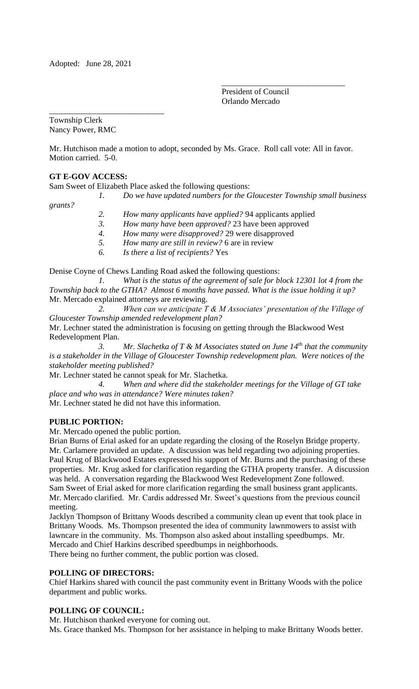\_\_\_\_\_\_\_\_\_\_\_\_\_\_\_\_\_\_\_\_\_\_\_\_\_\_\_\_

President of Council Orlando Mercado

\_\_\_\_\_\_\_\_\_\_\_\_\_\_\_\_\_\_\_\_\_\_\_\_\_\_\_\_\_\_

Township Clerk Nancy Power, RMC

Mr. Hutchison made a motion to adopt, seconded by Ms. Grace. Roll call vote: All in favor. Motion carried. 5-0.

# **GT E-GOV ACCESS:**

Sam Sweet of Elizabeth Place asked the following questions:

*1. Do we have updated numbers for the Gloucester Township small business grants?*

- *2. How many applicants have applied?* 94 applicants applied
- *3. How many have been approved?* 23 have been approved
- *4. How many were disapproved?* 29 were disapproved
- *5. How many are still in review?* 6 are in review
- *6. Is there a list of recipients?* Yes

Denise Coyne of Chews Landing Road asked the following questions:

*1. What is the status of the agreement of sale for block 12301 lot 4 from the Township back to the GTHA? Almost 6 months have passed. What is the issue holding it up?* Mr. Mercado explained attorneys are reviewing.

*2. When can we anticipate T & M Associates' presentation of the Village of Gloucester Township amended redevelopment plan?*

Mr. Lechner stated the administration is focusing on getting through the Blackwood West Redevelopment Plan.

*3. Mr. Slachetka of T & M Associates stated on June 14th that the community is a stakeholder in the Village of Gloucester Township redevelopment plan. Were notices of the stakeholder meeting published?*

Mr. Lechner stated he cannot speak for Mr. Slachetka.

*4. When and where did the stakeholder meetings for the Village of GT take place and who was in attendance? Were minutes taken?*  Mr. Lechner stated he did not have this information.

# **PUBLIC PORTION:**

Mr. Mercado opened the public portion.

Brian Burns of Erial asked for an update regarding the closing of the Roselyn Bridge property. Mr. Carlamere provided an update. A discussion was held regarding two adjoining properties. Paul Krug of Blackwood Estates expressed his support of Mr. Burns and the purchasing of these properties. Mr. Krug asked for clarification regarding the GTHA property transfer. A discussion was held. A conversation regarding the Blackwood West Redevelopment Zone followed. Sam Sweet of Erial asked for more clarification regarding the small business grant applicants. Mr. Mercado clarified. Mr. Cardis addressed Mr. Sweet's questions from the previous council meeting.

Jacklyn Thompson of Brittany Woods described a community clean up event that took place in Brittany Woods. Ms. Thompson presented the idea of community lawnmowers to assist with lawncare in the community. Ms. Thompson also asked about installing speedbumps. Mr. Mercado and Chief Harkins described speedbumps in neighborhoods. There being no further comment, the public portion was closed.

# **POLLING OF DIRECTORS:**

Chief Harkins shared with council the past community event in Brittany Woods with the police department and public works.

# **POLLING OF COUNCIL:**

Mr. Hutchison thanked everyone for coming out.

Ms. Grace thanked Ms. Thompson for her assistance in helping to make Brittany Woods better.